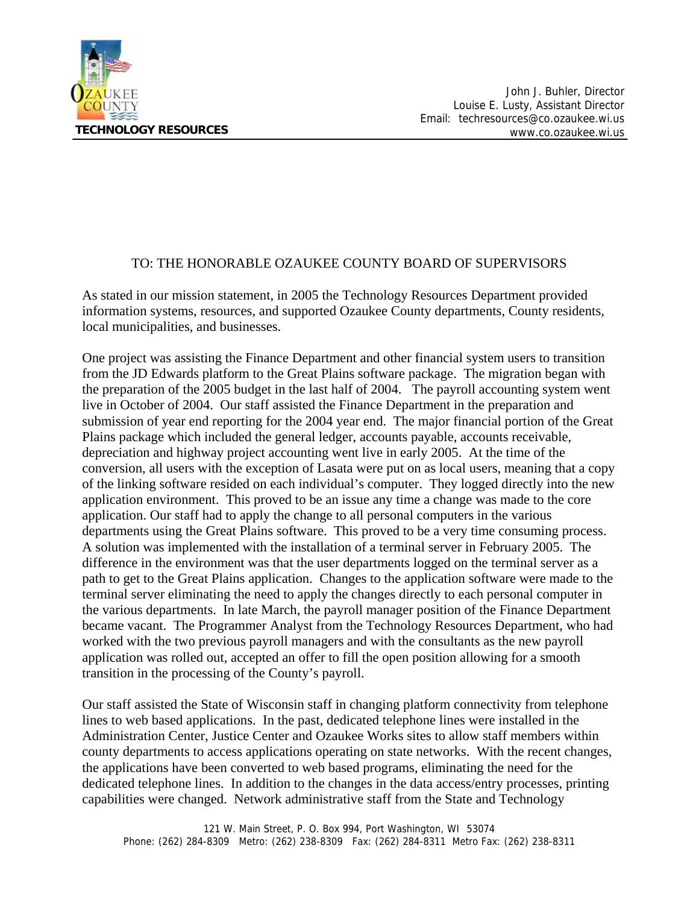

## TO: THE HONORABLE OZAUKEE COUNTY BOARD OF SUPERVISORS

As stated in our mission statement, in 2005 the Technology Resources Department provided information systems, resources, and supported Ozaukee County departments, County residents, local municipalities, and businesses.

One project was assisting the Finance Department and other financial system users to transition from the JD Edwards platform to the Great Plains software package. The migration began with the preparation of the 2005 budget in the last half of 2004. The payroll accounting system went live in October of 2004. Our staff assisted the Finance Department in the preparation and submission of year end reporting for the 2004 year end. The major financial portion of the Great Plains package which included the general ledger, accounts payable, accounts receivable, depreciation and highway project accounting went live in early 2005. At the time of the conversion, all users with the exception of Lasata were put on as local users, meaning that a copy of the linking software resided on each individual's computer. They logged directly into the new application environment. This proved to be an issue any time a change was made to the core application. Our staff had to apply the change to all personal computers in the various departments using the Great Plains software. This proved to be a very time consuming process. A solution was implemented with the installation of a terminal server in February 2005. The difference in the environment was that the user departments logged on the terminal server as a path to get to the Great Plains application. Changes to the application software were made to the terminal server eliminating the need to apply the changes directly to each personal computer in the various departments. In late March, the payroll manager position of the Finance Department became vacant. The Programmer Analyst from the Technology Resources Department, who had worked with the two previous payroll managers and with the consultants as the new payroll application was rolled out, accepted an offer to fill the open position allowing for a smooth transition in the processing of the County's payroll.

Our staff assisted the State of Wisconsin staff in changing platform connectivity from telephone lines to web based applications. In the past, dedicated telephone lines were installed in the Administration Center, Justice Center and Ozaukee Works sites to allow staff members within county departments to access applications operating on state networks. With the recent changes, the applications have been converted to web based programs, eliminating the need for the dedicated telephone lines. In addition to the changes in the data access/entry processes, printing capabilities were changed. Network administrative staff from the State and Technology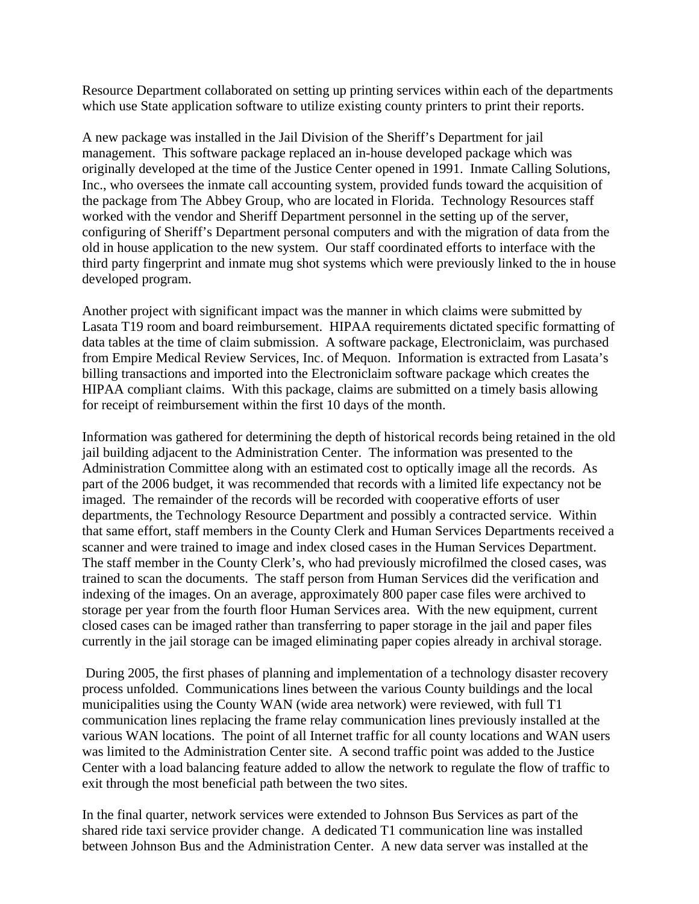Resource Department collaborated on setting up printing services within each of the departments which use State application software to utilize existing county printers to print their reports.

A new package was installed in the Jail Division of the Sheriff's Department for jail management. This software package replaced an in-house developed package which was originally developed at the time of the Justice Center opened in 1991. Inmate Calling Solutions, Inc., who oversees the inmate call accounting system, provided funds toward the acquisition of the package from The Abbey Group, who are located in Florida. Technology Resources staff worked with the vendor and Sheriff Department personnel in the setting up of the server, configuring of Sheriff's Department personal computers and with the migration of data from the old in house application to the new system. Our staff coordinated efforts to interface with the third party fingerprint and inmate mug shot systems which were previously linked to the in house developed program.

Another project with significant impact was the manner in which claims were submitted by Lasata T19 room and board reimbursement. HIPAA requirements dictated specific formatting of data tables at the time of claim submission. A software package, Electroniclaim, was purchased from Empire Medical Review Services, Inc. of Mequon. Information is extracted from Lasata's billing transactions and imported into the Electroniclaim software package which creates the HIPAA compliant claims. With this package, claims are submitted on a timely basis allowing for receipt of reimbursement within the first 10 days of the month.

Information was gathered for determining the depth of historical records being retained in the old jail building adjacent to the Administration Center. The information was presented to the Administration Committee along with an estimated cost to optically image all the records. As part of the 2006 budget, it was recommended that records with a limited life expectancy not be imaged. The remainder of the records will be recorded with cooperative efforts of user departments, the Technology Resource Department and possibly a contracted service. Within that same effort, staff members in the County Clerk and Human Services Departments received a scanner and were trained to image and index closed cases in the Human Services Department. The staff member in the County Clerk's, who had previously microfilmed the closed cases, was trained to scan the documents. The staff person from Human Services did the verification and indexing of the images. On an average, approximately 800 paper case files were archived to storage per year from the fourth floor Human Services area. With the new equipment, current closed cases can be imaged rather than transferring to paper storage in the jail and paper files currently in the jail storage can be imaged eliminating paper copies already in archival storage.

 During 2005, the first phases of planning and implementation of a technology disaster recovery process unfolded. Communications lines between the various County buildings and the local municipalities using the County WAN (wide area network) were reviewed, with full T1 communication lines replacing the frame relay communication lines previously installed at the various WAN locations. The point of all Internet traffic for all county locations and WAN users was limited to the Administration Center site. A second traffic point was added to the Justice Center with a load balancing feature added to allow the network to regulate the flow of traffic to exit through the most beneficial path between the two sites.

In the final quarter, network services were extended to Johnson Bus Services as part of the shared ride taxi service provider change. A dedicated T1 communication line was installed between Johnson Bus and the Administration Center. A new data server was installed at the